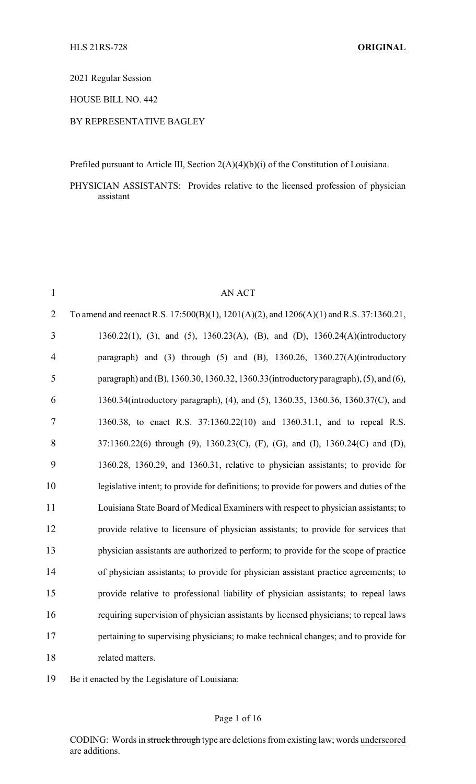2021 Regular Session

HOUSE BILL NO. 442

#### BY REPRESENTATIVE BAGLEY

Prefiled pursuant to Article III, Section 2(A)(4)(b)(i) of the Constitution of Louisiana.

PHYSICIAN ASSISTANTS: Provides relative to the licensed profession of physician assistant

| $\mathbf{1}$   | <b>AN ACT</b>                                                                           |
|----------------|-----------------------------------------------------------------------------------------|
| $\overline{2}$ | To amend and reenact R.S. 17:500(B)(1), 1201(A)(2), and 1206(A)(1) and R.S. 37:1360.21, |
| 3              | 1360.22(1), (3), and (5), 1360.23(A), (B), and (D), 1360.24(A)(introductory             |
| 4              | paragraph) and (3) through (5) and (B), $1360.26$ , $1360.27(A)$ (introductory          |
| 5              | paragraph) and (B), 1360.30, 1360.32, 1360.33(introductory paragraph), (5), and (6),    |
| 6              | 1360.34(introductory paragraph), (4), and (5), 1360.35, 1360.36, 1360.37(C), and        |
| $\overline{7}$ | 1360.38, to enact R.S. 37:1360.22(10) and 1360.31.1, and to repeal R.S.                 |
| 8              | 37:1360.22(6) through (9), 1360.23(C), (F), (G), and (I), 1360.24(C) and (D),           |
| 9              | 1360.28, 1360.29, and 1360.31, relative to physician assistants; to provide for         |
| 10             | legislative intent; to provide for definitions; to provide for powers and duties of the |
| 11             | Louisiana State Board of Medical Examiners with respect to physician assistants; to     |
| 12             | provide relative to licensure of physician assistants; to provide for services that     |
| 13             | physician assistants are authorized to perform; to provide for the scope of practice    |
| 14             | of physician assistants; to provide for physician assistant practice agreements; to     |
| 15             | provide relative to professional liability of physician assistants; to repeal laws      |
| 16             | requiring supervision of physician assistants by licensed physicians; to repeal laws    |
| 17             | pertaining to supervising physicians; to make technical changes; and to provide for     |
| 18             | related matters.                                                                        |

Be it enacted by the Legislature of Louisiana:

#### Page 1 of 16

CODING: Words in struck through type are deletions from existing law; words underscored are additions.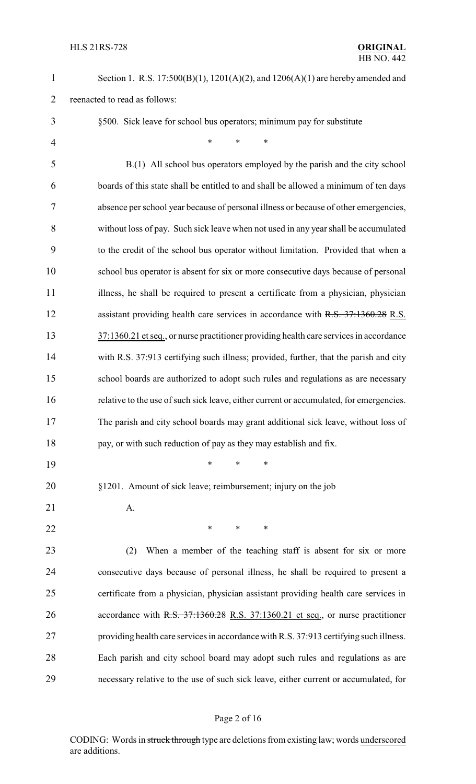| $\mathbf{1}$             | Section 1. R.S. $17:500(B)(1)$ , $1201(A)(2)$ , and $1206(A)(1)$ are hereby amended and |
|--------------------------|-----------------------------------------------------------------------------------------|
| $\overline{2}$           | reenacted to read as follows:                                                           |
| 3                        | §500. Sick leave for school bus operators; minimum pay for substitute                   |
| $\overline{\mathcal{A}}$ | $\ast$<br>*<br>*                                                                        |
| 5                        | B.(1) All school bus operators employed by the parish and the city school               |
| 6                        | boards of this state shall be entitled to and shall be allowed a minimum of ten days    |
| 7                        | absence per school year because of personal illness or because of other emergencies,    |
| 8                        | without loss of pay. Such sick leave when not used in any year shall be accumulated     |
| 9                        | to the credit of the school bus operator without limitation. Provided that when a       |
| 10                       | school bus operator is absent for six or more consecutive days because of personal      |
| 11                       | illness, he shall be required to present a certificate from a physician, physician      |
| 12                       | assistant providing health care services in accordance with R.S. 37:1360.28 R.S.        |
| 13                       | 37:1360.21 et seq., or nurse practitioner providing health care services in accordance  |
| 14                       | with R.S. 37:913 certifying such illness; provided, further, that the parish and city   |
| 15                       | school boards are authorized to adopt such rules and regulations as are necessary       |
| 16                       | relative to the use of such sick leave, either current or accumulated, for emergencies. |
| 17                       | The parish and city school boards may grant additional sick leave, without loss of      |
| 18                       | pay, or with such reduction of pay as they may establish and fix.                       |
| 19                       | *<br>$\ast$<br>*                                                                        |
| 20                       | §1201. Amount of sick leave; reimbursement; injury on the job                           |
| 21                       | A.                                                                                      |
| 22                       | ∗<br>*<br>∗                                                                             |
| 23                       | When a member of the teaching staff is absent for six or more<br>(2)                    |
| 24                       | consecutive days because of personal illness, he shall be required to present a         |
| 25                       | certificate from a physician, physician assistant providing health care services in     |
| 26                       | accordance with R.S. 37:1360.28 R.S. 37:1360.21 et seq., or nurse practitioner          |
| 27                       | providing health care services in accordance with R.S. 37:913 certifying such illness.  |
| 28                       | Each parish and city school board may adopt such rules and regulations as are           |
| 29                       | necessary relative to the use of such sick leave, either current or accumulated, for    |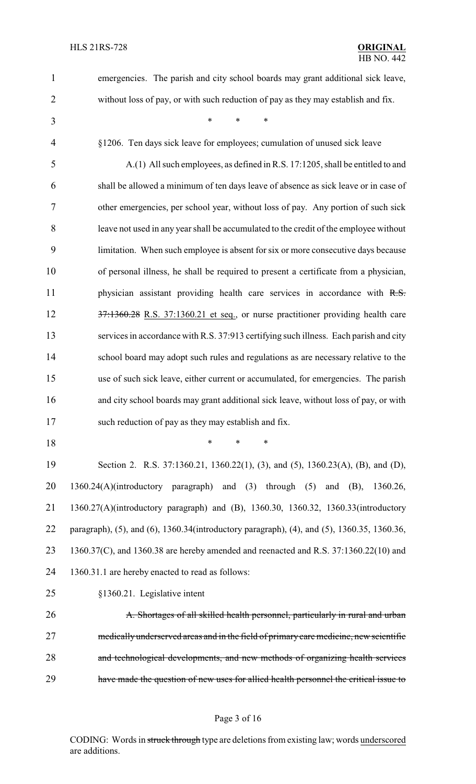| $\mathbf{1}$   | emergencies. The parish and city school boards may grant additional sick leave,            |
|----------------|--------------------------------------------------------------------------------------------|
| $\overline{2}$ | without loss of pay, or with such reduction of pay as they may establish and fix.          |
| 3              | $\ast$<br>$\ast$<br>*                                                                      |
| 4              | §1206. Ten days sick leave for employees; cumulation of unused sick leave                  |
| 5              | A.(1) All such employees, as defined in R.S. 17:1205, shall be entitled to and             |
| 6              | shall be allowed a minimum of ten days leave of absence as sick leave or in case of        |
| 7              | other emergencies, per school year, without loss of pay. Any portion of such sick          |
| 8              | leave not used in any year shall be accumulated to the credit of the employee without      |
| 9              | limitation. When such employee is absent for six or more consecutive days because          |
| 10             | of personal illness, he shall be required to present a certificate from a physician,       |
| 11             | physician assistant providing health care services in accordance with R.S.                 |
| 12             | 37.1360.28 R.S. 37:1360.21 et seq., or nurse practitioner providing health care            |
| 13             | services in accordance with R.S. 37:913 certifying such illness. Each parish and city      |
| 14             | school board may adopt such rules and regulations as are necessary relative to the         |
| 15             | use of such sick leave, either current or accumulated, for emergencies. The parish         |
| 16             | and city school boards may grant additional sick leave, without loss of pay, or with       |
| 17             | such reduction of pay as they may establish and fix.                                       |
| 18             | $\ast$<br>$\ast$<br>*                                                                      |
| 19             | Section 2. R.S. 37:1360.21, 1360.22(1), (3), and (5), 1360.23(A), (B), and (D),            |
| 20             | 1360.24(A)(introductory paragraph) and (3) through (5) and (B), 1360.26,                   |
| 21             | 1360.27(A)(introductory paragraph) and (B), 1360.30, 1360.32, 1360.33(introductory         |
| 22             | paragraph), (5), and (6), 1360.34(introductory paragraph), (4), and (5), 1360.35, 1360.36, |
| 23             | 1360.37(C), and 1360.38 are hereby amended and reenacted and R.S. 37:1360.22(10) and       |
| 24             | 1360.31.1 are hereby enacted to read as follows:                                           |
| 25             | §1360.21. Legislative intent                                                               |
| 26             | A. Shortages of all skilled health personnel, particularly in rural and urban              |
| 27             | medically underserved areas and in the field of primary care medicine, new scientific      |
| 28             | and technological developments, and new methods of organizing health services              |
| 29             | have made the question of new uses for allied health personnel the critical issue to       |

# Page 3 of 16

CODING: Words in struck through type are deletions from existing law; words underscored are additions.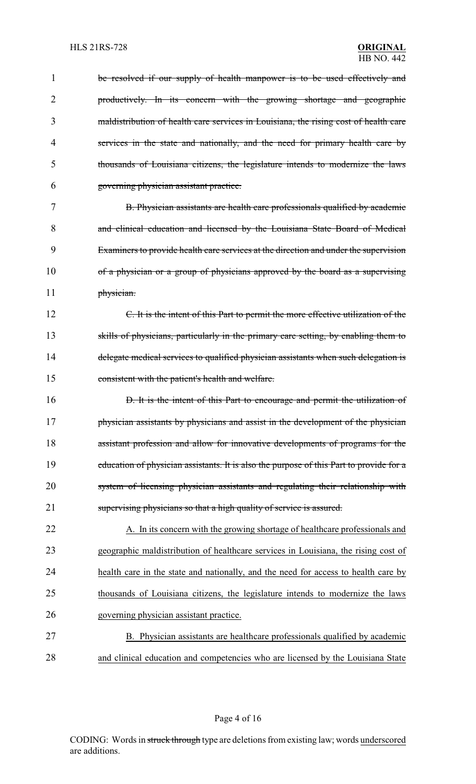| 1              | be resolved if our supply of health manpower is to be used effectively and              |
|----------------|-----------------------------------------------------------------------------------------|
| $\overline{2}$ | productively. In its concern with the growing shortage and geographic                   |
| 3              | maldistribution of health care services in Louisiana, the rising cost of health care    |
| 4              | services in the state and nationally, and the need for primary health care by           |
| 5              | thousands of Louisiana citizens, the legislature intends to modernize the laws          |
| 6              | governing physician assistant practice.                                                 |
| 7              | B. Physician assistants are health care professionals qualified by academic             |
| 8              | and clinical education and licensed by the Louisiana State Board of Medical             |
| 9              | Examiners to provide health care services at the direction and under the supervision    |
| 10             | of a physician or a group of physicians approved by the board as a supervising          |
| 11             | physician.                                                                              |
| 12             | C. It is the intent of this Part to permit the more effective utilization of the        |
| 13             | skills of physicians, particularly in the primary care setting, by enabling them to     |
| 14             | delegate medical services to qualified physician assistants when such delegation is     |
| 15             | consistent with the patient's health and welfare.                                       |
| 16             | D. It is the intent of this Part to encourage and permit the utilization of             |
| 17             | physician assistants by physicians and assist in the development of the physician       |
| 18             |                                                                                         |
|                | assistant profession and allow for innovative developments of programs for the          |
| 19             | education of physician assistants. It is also the purpose of this Part to provide for a |
| 20             | system of licensing physician assistants and regulating their relationship with         |
| 21             | supervising physicians so that a high quality of service is assured.                    |
| 22             | A. In its concern with the growing shortage of healthcare professionals and             |
| 23             | geographic maldistribution of healthcare services in Louisiana, the rising cost of      |
| 24             | health care in the state and nationally, and the need for access to health care by      |
| 25             | thousands of Louisiana citizens, the legislature intends to modernize the laws          |
| 26             | governing physician assistant practice.                                                 |
| 27             | B. Physician assistants are healthcare professionals qualified by academic              |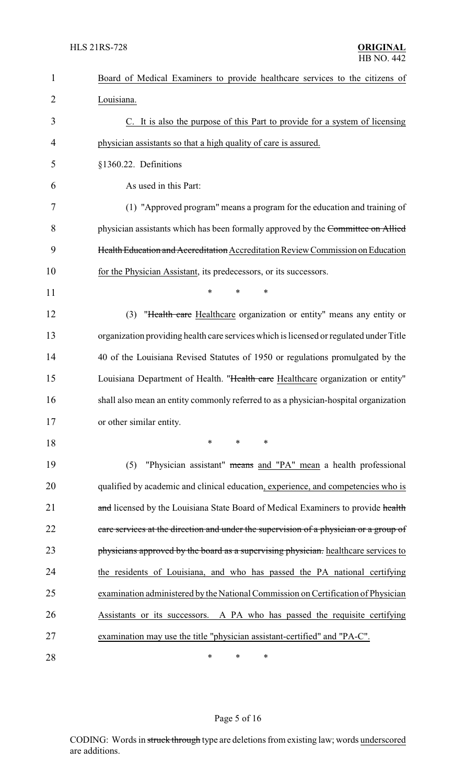| $\mathbf{1}$   | Board of Medical Examiners to provide healthcare services to the citizens of           |
|----------------|----------------------------------------------------------------------------------------|
| $\overline{2}$ | Louisiana.                                                                             |
| 3              | C. It is also the purpose of this Part to provide for a system of licensing            |
| 4              | physician assistants so that a high quality of care is assured.                        |
| 5              | §1360.22. Definitions                                                                  |
| 6              | As used in this Part:                                                                  |
| 7              | (1) "Approved program" means a program for the education and training of               |
| 8              | physician assistants which has been formally approved by the Committee on Allied       |
| 9              | Health Education and Accreditation Accreditation Review Commission on Education        |
| 10             | for the Physician Assistant, its predecessors, or its successors.                      |
| 11             | *<br>$\ast$<br>*                                                                       |
| 12             | "Health care Healthcare organization or entity" means any entity or<br>(3)             |
| 13             | organization providing health care services which is licensed or regulated under Title |
| 14             | 40 of the Louisiana Revised Statutes of 1950 or regulations promulgated by the         |
| 15             | Louisiana Department of Health. "Health care Healthcare organization or entity"        |
| 16             | shall also mean an entity commonly referred to as a physician-hospital organization    |
| 17             | or other similar entity.                                                               |
| 18             | $\ast$<br>$\ast$<br>∗                                                                  |
| 19             | "Physician assistant" means and "PA" mean a health professional<br>(5)                 |
| 20             | qualified by academic and clinical education, experience, and competencies who is      |
| 21             | and licensed by the Louisiana State Board of Medical Examiners to provide health       |
| 22             | care services at the direction and under the supervision of a physician or a group of  |
| 23             | physicians approved by the board as a supervising physician. healthcare services to    |
| 24             | the residents of Louisiana, and who has passed the PA national certifying              |
| 25             | examination administered by the National Commission on Certification of Physician      |
| 26             | Assistants or its successors.<br>A PA who has passed the requisite certifying          |
| 27             | examination may use the title "physician assistant-certified" and "PA-C".              |
| 28             | ∗<br>∗<br>∗                                                                            |

# Page 5 of 16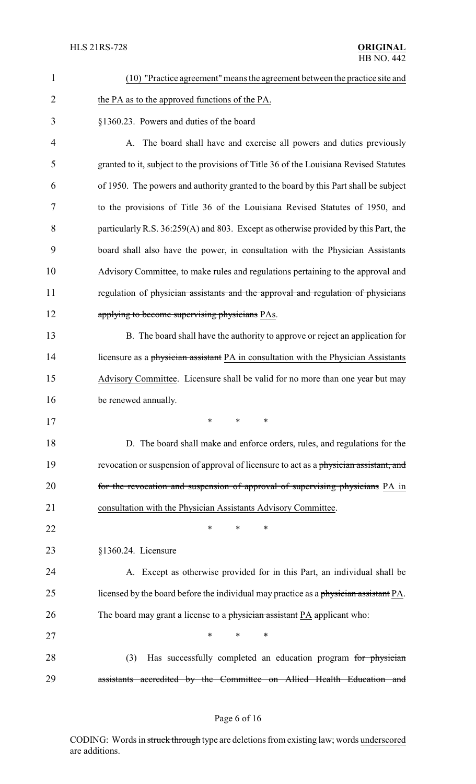| 1              | (10) "Practice agreement" means the agreement between the practice site and            |
|----------------|----------------------------------------------------------------------------------------|
| $\overline{2}$ | the PA as to the approved functions of the PA.                                         |
| 3              | §1360.23. Powers and duties of the board                                               |
| $\overline{4}$ | A. The board shall have and exercise all powers and duties previously                  |
| 5              | granted to it, subject to the provisions of Title 36 of the Louisiana Revised Statutes |
| 6              | of 1950. The powers and authority granted to the board by this Part shall be subject   |
| 7              | to the provisions of Title 36 of the Louisiana Revised Statutes of 1950, and           |
| 8              | particularly R.S. 36:259(A) and 803. Except as otherwise provided by this Part, the    |
| 9              | board shall also have the power, in consultation with the Physician Assistants         |
| 10             | Advisory Committee, to make rules and regulations pertaining to the approval and       |
| 11             | regulation of physician assistants and the approval and regulation of physicians       |
| 12             | applying to become supervising physicians PAs.                                         |
| 13             | B. The board shall have the authority to approve or reject an application for          |
| 14             | licensure as a physician assistant PA in consultation with the Physician Assistants    |
| 15             | Advisory Committee. Licensure shall be valid for no more than one year but may         |
| 16             | be renewed annually.                                                                   |
| 17             |                                                                                        |
| 18             | D. The board shall make and enforce orders, rules, and regulations for the             |
| 19             | revocation or suspension of approval of licensure to act as a physician assistant, and |
| 20             | for the revocation and suspension of approval of supervising physicians PA in          |
| 21             | consultation with the Physician Assistants Advisory Committee.                         |
| 22             | $\ast$<br>*<br>∗                                                                       |
| 23             | §1360.24. Licensure                                                                    |
| 24             | A. Except as otherwise provided for in this Part, an individual shall be               |
| 25             | licensed by the board before the individual may practice as a physician assistant PA.  |
| 26             | The board may grant a license to a physician assistant PA applicant who:               |
| 27             | $\ast$<br>*<br>*                                                                       |
| 28             | (3)<br>Has successfully completed an education program for physician                   |
| 29             | assistants accredited by the Committee on Allied Health Education and                  |

# Page 6 of 16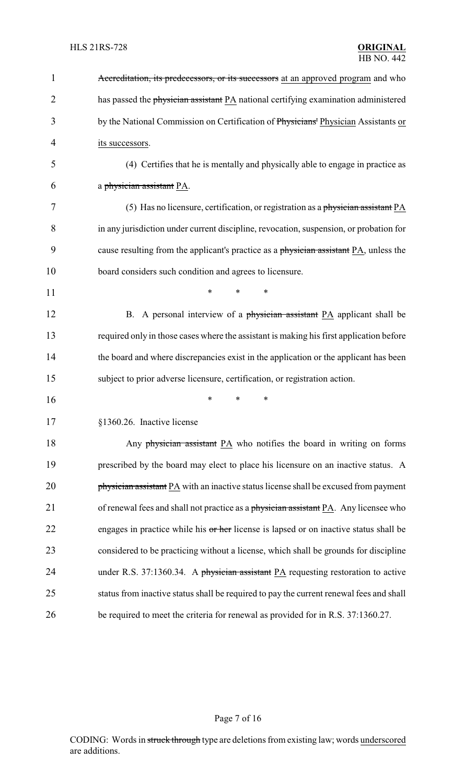| $\mathbf{1}$   | Accreditation, its predecessors, or its successors at an approved program and who         |
|----------------|-------------------------------------------------------------------------------------------|
| $\overline{2}$ | has passed the <i>physician assistant</i> PA national certifying examination administered |
| 3              | by the National Commission on Certification of Physicians' Physician Assistants or        |
| 4              | its successors.                                                                           |
| 5              | (4) Certifies that he is mentally and physically able to engage in practice as            |
| 6              | a physician assistant PA.                                                                 |
| 7              | (5) Has no licensure, certification, or registration as a physician assistant PA          |
| 8              | in any jurisdiction under current discipline, revocation, suspension, or probation for    |
| 9              | cause resulting from the applicant's practice as a physician assistant PA, unless the     |
| 10             | board considers such condition and agrees to licensure.                                   |
| 11             | $\ast$<br>$\ast$<br>$\ast$                                                                |
| 12             | B. A personal interview of a physician assistant PA applicant shall be                    |
| 13             | required only in those cases where the assistant is making his first application before   |
| 14             | the board and where discrepancies exist in the application or the applicant has been      |
| 15             | subject to prior adverse licensure, certification, or registration action.                |
| 16             | *<br>$\ast$<br>*                                                                          |
| 17             | §1360.26. Inactive license                                                                |
| 18             | Any physician assistant PA who notifies the board in writing on forms                     |
| 19             | prescribed by the board may elect to place his licensure on an inactive status. A         |
| 20             | physician assistant PA with an inactive status license shall be excused from payment      |
| 21             | of renewal fees and shall not practice as a physician assistant PA. Any licensee who      |
| 22             | engages in practice while his or her license is lapsed or on inactive status shall be     |
| 23             | considered to be practicing without a license, which shall be grounds for discipline      |
| 24             | under R.S. 37:1360.34. A physician assistant PA requesting restoration to active          |
| 25             | status from inactive status shall be required to pay the current renewal fees and shall   |
| 26             | be required to meet the criteria for renewal as provided for in R.S. 37:1360.27.          |

Page 7 of 16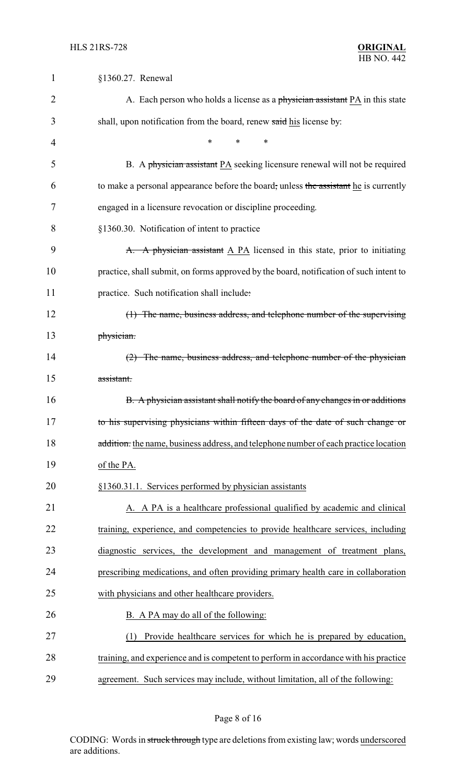| 1              | §1360.27. Renewal                                                                      |
|----------------|----------------------------------------------------------------------------------------|
| $\overline{2}$ | A. Each person who holds a license as a physician assistant PA in this state           |
| 3              | shall, upon notification from the board, renew said his license by:                    |
| 4              | $\ast$<br>$\ast$<br>$\ast$                                                             |
| 5              | B. A physician assistant PA seeking licensure renewal will not be required             |
| 6              | to make a personal appearance before the board, unless the assistant he is currently   |
| 7              | engaged in a licensure revocation or discipline proceeding.                            |
| 8              | §1360.30. Notification of intent to practice                                           |
| 9              | A. A physician assistant A PA licensed in this state, prior to initiating              |
| 10             | practice, shall submit, on forms approved by the board, notification of such intent to |
| 11             | practice. Such notification shall include:                                             |
| 12             | (1) The name, business address, and telephone number of the supervising                |
| 13             | physician.                                                                             |
| 14             | (2) The name, business address, and telephone number of the physician                  |
| 15             | assistant.                                                                             |
| 16             | B. A physician assistant shall notify the board of any changes in or additions         |
| 17             | to his supervising physicians within fifteen days of the date of such change or        |
| 18             | addition. the name, business address, and telephone number of each practice location   |
| 19             | of the PA.                                                                             |
| 20             | §1360.31.1. Services performed by physician assistants                                 |
| 21             | A. A PA is a healthcare professional qualified by academic and clinical                |
| 22             | training, experience, and competencies to provide healthcare services, including       |
| 23             | diagnostic services, the development and management of treatment plans,                |
| 24             | prescribing medications, and often providing primary health care in collaboration      |
| 25             | with physicians and other healthcare providers.                                        |
| 26             | B. A PA may do all of the following:                                                   |
| 27             | Provide healthcare services for which he is prepared by education,<br>(1)              |
| 28             | training, and experience and is competent to perform in accordance with his practice   |
| 29             | agreement. Such services may include, without limitation, all of the following:        |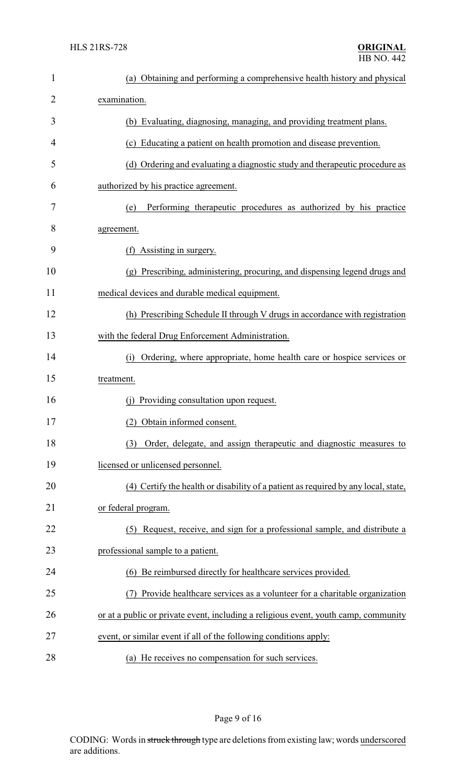| $\mathbf{1}$   | (a) Obtaining and performing a comprehensive health history and physical            |
|----------------|-------------------------------------------------------------------------------------|
| $\overline{2}$ | examination.                                                                        |
| 3              | (b) Evaluating, diagnosing, managing, and providing treatment plans.                |
| 4              | (c) Educating a patient on health promotion and disease prevention.                 |
| 5              | (d) Ordering and evaluating a diagnostic study and therapeutic procedure as         |
| 6              | authorized by his practice agreement.                                               |
| 7              | Performing therapeutic procedures as authorized by his practice<br>(e)              |
| 8              | agreement.                                                                          |
| 9              | Assisting in surgery.<br>(f)                                                        |
| 10             | (g) Prescribing, administering, procuring, and dispensing legend drugs and          |
| 11             | medical devices and durable medical equipment.                                      |
| 12             | (h) Prescribing Schedule II through V drugs in accordance with registration         |
| 13             | with the federal Drug Enforcement Administration.                                   |
| 14             | Ordering, where appropriate, home health care or hospice services or<br>(i)         |
| 15             | treatment.                                                                          |
| 16             | Providing consultation upon request.<br>(i)                                         |
| 17             | (2) Obtain informed consent.                                                        |
| 18             | Order, delegate, and assign therapeutic and diagnostic measures to<br>(3)           |
| 19             | licensed or unlicensed personnel.                                                   |
| 20             | (4) Certify the health or disability of a patient as required by any local, state,  |
| 21             | or federal program.                                                                 |
| 22             | (5) Request, receive, and sign for a professional sample, and distribute a          |
| 23             | professional sample to a patient.                                                   |
| 24             | (6) Be reimbursed directly for healthcare services provided.                        |
| 25             | Provide healthcare services as a volunteer for a charitable organization<br>(7)     |
| 26             | or at a public or private event, including a religious event, youth camp, community |
| 27             | event, or similar event if all of the following conditions apply:                   |
| 28             | (a) He receives no compensation for such services.                                  |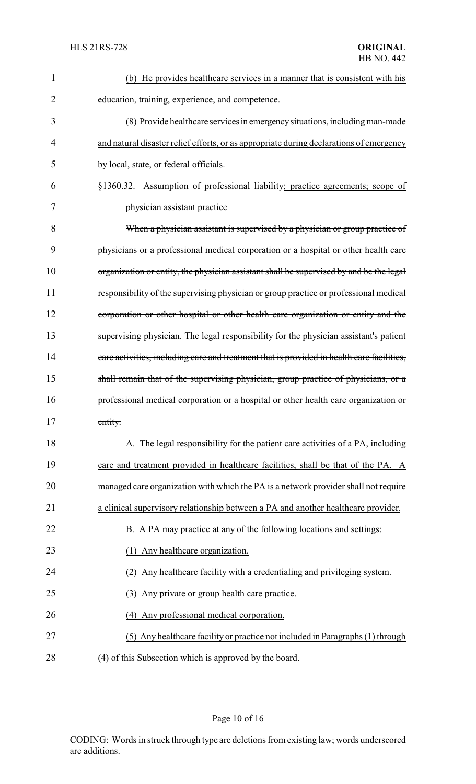| 1              | (b) He provides healthcare services in a manner that is consistent with his               |
|----------------|-------------------------------------------------------------------------------------------|
| $\overline{2}$ | education, training, experience, and competence.                                          |
| 3              | (8) Provide healthcare services in emergency situations, including man-made               |
| 4              | and natural disaster relief efforts, or as appropriate during declarations of emergency   |
| 5              | by local, state, or federal officials.                                                    |
| 6              | §1360.32. Assumption of professional liability; practice agreements; scope of             |
| 7              | physician assistant practice                                                              |
| 8              | When a physician assistant is supervised by a physician or group practice of              |
| 9              | physicians or a professional medical corporation or a hospital or other health care       |
| 10             | organization or entity, the physician assistant shall be supervised by and be the legal   |
| 11             | responsibility of the supervising physician or group practice or professional medical     |
| 12             | corporation or other hospital or other health care organization or entity and the         |
| 13             | supervising physician. The legal responsibility for the physician assistant's patient     |
| 14             | care activities, including care and treatment that is provided in health care facilities, |
| 15             | shall remain that of the supervising physician, group practice of physicians, or a        |
| 16             | professional medical corporation or a hospital or other health care organization or       |
| 17             | entity.                                                                                   |
| 18             | A. The legal responsibility for the patient care activities of a PA, including            |
| 19             | care and treatment provided in healthcare facilities, shall be that of the PA. A          |
| 20             | managed care organization with which the PA is a network provider shall not require       |
| 21             | a clinical supervisory relationship between a PA and another healthcare provider.         |
| 22             | B. A PA may practice at any of the following locations and settings:                      |
| 23             | Any healthcare organization.<br>(1)                                                       |
| 24             | Any healthcare facility with a credentialing and privileging system.                      |
| 25             | (3) Any private or group health care practice.                                            |
| 26             | Any professional medical corporation.<br>(4)                                              |
| 27             | (5) Any healthcare facility or practice not included in Paragraphs (1) through            |
| 28             | (4) of this Subsection which is approved by the board.                                    |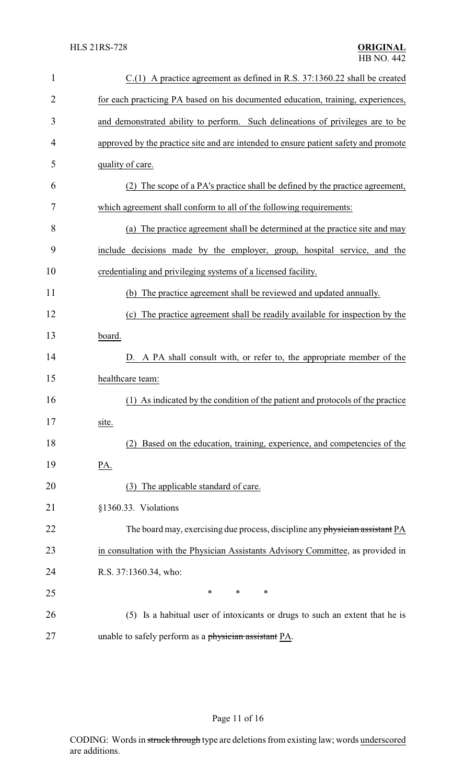| $\mathbf{1}$   | $C(1)$ A practice agreement as defined in R.S. 37:1360.22 shall be created          |
|----------------|-------------------------------------------------------------------------------------|
| $\overline{2}$ | for each practicing PA based on his documented education, training, experiences,    |
| 3              | and demonstrated ability to perform. Such delineations of privileges are to be      |
| 4              | approved by the practice site and are intended to ensure patient safety and promote |
| 5              | quality of care.                                                                    |
| 6              | (2) The scope of a PA's practice shall be defined by the practice agreement,        |
| 7              | which agreement shall conform to all of the following requirements:                 |
| 8              | (a) The practice agreement shall be determined at the practice site and may         |
| 9              | include decisions made by the employer, group, hospital service, and the            |
| 10             | credentialing and privileging systems of a licensed facility.                       |
| 11             | (b) The practice agreement shall be reviewed and updated annually.                  |
| 12             | (c) The practice agreement shall be readily available for inspection by the         |
| 13             | board.                                                                              |
| 14             | D. A PA shall consult with, or refer to, the appropriate member of the              |
| 15             | healthcare team:                                                                    |
| 16             | (1) As indicated by the condition of the patient and protocols of the practice      |
| 17             | site.                                                                               |
| 18             | Based on the education, training, experience, and competencies of the<br>(2)        |
| 19             | <u>PA.</u>                                                                          |
| 20             | (3) The applicable standard of care.                                                |
| 21             | §1360.33. Violations                                                                |
| 22             | The board may, exercising due process, discipline any physician assistant PA        |
| 23             | in consultation with the Physician Assistants Advisory Committee, as provided in    |
| 24             | R.S. 37:1360.34, who:                                                               |
| 25             | ∗<br>*<br>∗                                                                         |
| 26             | (5) Is a habitual user of intoxicants or drugs to such an extent that he is         |
| 27             | unable to safely perform as a physician assistant PA.                               |

# Page 11 of 16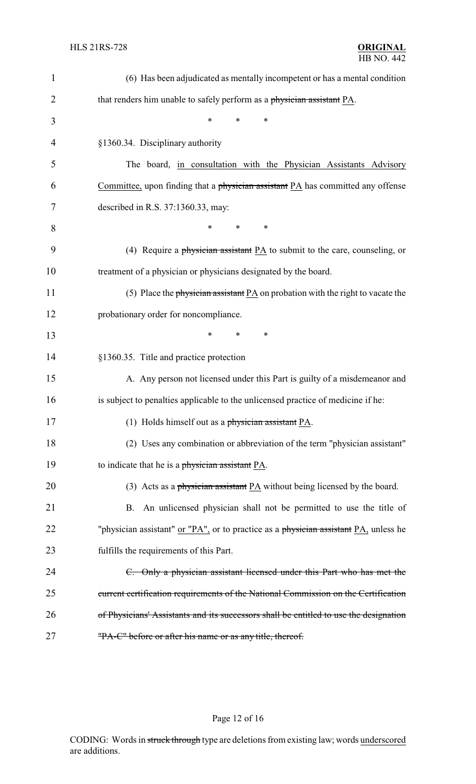| $\mathbf{1}$   | (6) Has been adjudicated as mentally incompetent or has a mental condition            |
|----------------|---------------------------------------------------------------------------------------|
| $\overline{2}$ | that renders him unable to safely perform as a physician assistant PA.                |
| 3              | *<br>$\ast$<br>$\ast$                                                                 |
| $\overline{4}$ | §1360.34. Disciplinary authority                                                      |
| 5              | The board, in consultation with the Physician Assistants Advisory                     |
| 6              | Committee, upon finding that a physician assistant PA has committed any offense       |
| 7              | described in R.S. 37:1360.33, may:                                                    |
| 8              | $\ast$<br>*<br>$\ast$                                                                 |
| 9              | (4) Require a physician assistant PA to submit to the care, counseling, or            |
| 10             | treatment of a physician or physicians designated by the board.                       |
| 11             | (5) Place the physician assistant PA on probation with the right to vacate the        |
| 12             | probationary order for noncompliance.                                                 |
| 13             | $\ast$<br>*<br>$\ast$                                                                 |
| 14             | §1360.35. Title and practice protection                                               |
| 15             | A. Any person not licensed under this Part is guilty of a misdemeanor and             |
| 16             | is subject to penalties applicable to the unlicensed practice of medicine if he:      |
| 17             | $(1)$ Holds himself out as a physician assistant PA.                                  |
| 18             | (2) Uses any combination or abbreviation of the term "physician assistant"            |
| 19             | to indicate that he is a physician assistant PA.                                      |
| 20             | (3) Acts as a physician assistant PA without being licensed by the board.             |
| 21             | B. An unlicensed physician shall not be permitted to use the title of                 |
| 22             | "physician assistant" or "PA", or to practice as a physician assistant PA, unless he  |
| 23             | fulfills the requirements of this Part.                                               |
| 24             | C. Only a physician assistant licensed under this Part who has met the                |
| 25             | current certification requirements of the National Commission on the Certification    |
| 26             | of Physicians' Assistants and its successors shall be entitled to use the designation |
| 27             | "PA-C" before or after his name or as any title, thereof.                             |

# Page 12 of 16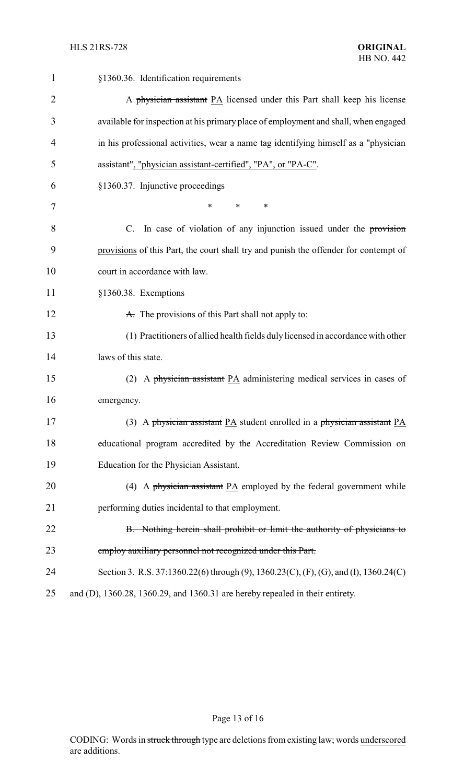| $\mathbf{1}$   | §1360.36. Identification requirements                                                |
|----------------|--------------------------------------------------------------------------------------|
| $\overline{2}$ | A physician assistant PA licensed under this Part shall keep his license             |
| 3              | available for inspection at his primary place of employment and shall, when engaged  |
| 4              | in his professional activities, wear a name tag identifying himself as a "physician" |
| 5              | assistant", "physician assistant-certified", "PA", or "PA-C".                        |
| 6              | §1360.37. Injunctive proceedings                                                     |
| 7              | *<br>*<br>*                                                                          |
| 8              | C. In case of violation of any injunction issued under the provision                 |
| 9              | provisions of this Part, the court shall try and punish the offender for contempt of |
| 10             | court in accordance with law.                                                        |
| 11             | §1360.38. Exemptions                                                                 |
| 12             | A. The provisions of this Part shall not apply to:                                   |
| 13             | (1) Practitioners of allied health fields duly licensed in accordance with other     |
| 14             | laws of this state.                                                                  |
| 15             | (2) A physician assistant PA administering medical services in cases of              |
| 16             | emergency.                                                                           |
| 17             | (3) A physician assistant PA student enrolled in a physician assistant PA            |
| 18             | educational program accredited by the Accreditation Review Commission on             |
| 19             | Education for the Physician Assistant.                                               |
| 20             | (4) A physician assistant PA employed by the federal government while                |
| 21             | performing duties incidental to that employment.                                     |
| 22             | B. Nothing herein shall prohibit or limit the authority of physicians to             |
| 23             | employ auxiliary personnel not recognized under this Part.                           |
| 24             | Section 3. R.S. 37:1360.22(6) through (9), 1360.23(C), (F), (G), and (I), 1360.24(C) |
| 25             | and $(D)$ , 1360.28, 1360.29, and 1360.31 are hereby repealed in their entirety.     |

# Page 13 of 16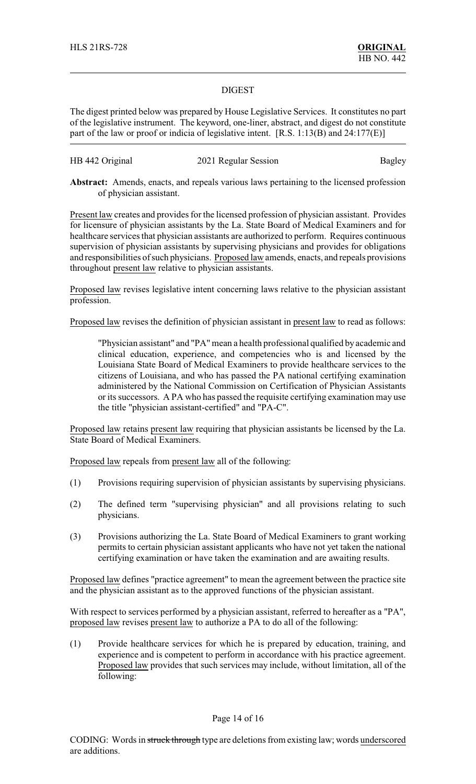#### DIGEST

The digest printed below was prepared by House Legislative Services. It constitutes no part of the legislative instrument. The keyword, one-liner, abstract, and digest do not constitute part of the law or proof or indicia of legislative intent. [R.S. 1:13(B) and 24:177(E)]

| HB 442 Original | 2021 Regular Session | <b>Bagley</b> |
|-----------------|----------------------|---------------|
|-----------------|----------------------|---------------|

**Abstract:** Amends, enacts, and repeals various laws pertaining to the licensed profession of physician assistant.

Present law creates and provides for the licensed profession of physician assistant. Provides for licensure of physician assistants by the La. State Board of Medical Examiners and for healthcare services that physician assistants are authorized to perform. Requires continuous supervision of physician assistants by supervising physicians and provides for obligations and responsibilities of such physicians. Proposed law amends, enacts, and repeals provisions throughout present law relative to physician assistants.

Proposed law revises legislative intent concerning laws relative to the physician assistant profession.

Proposed law revises the definition of physician assistant in present law to read as follows:

"Physician assistant" and "PA" mean a health professional qualified by academic and clinical education, experience, and competencies who is and licensed by the Louisiana State Board of Medical Examiners to provide healthcare services to the citizens of Louisiana, and who has passed the PA national certifying examination administered by the National Commission on Certification of Physician Assistants or its successors. A PA who has passed the requisite certifying examination may use the title "physician assistant-certified" and "PA-C".

Proposed law retains present law requiring that physician assistants be licensed by the La. State Board of Medical Examiners.

Proposed law repeals from present law all of the following:

- (1) Provisions requiring supervision of physician assistants by supervising physicians.
- (2) The defined term "supervising physician" and all provisions relating to such physicians.
- (3) Provisions authorizing the La. State Board of Medical Examiners to grant working permits to certain physician assistant applicants who have not yet taken the national certifying examination or have taken the examination and are awaiting results.

Proposed law defines "practice agreement" to mean the agreement between the practice site and the physician assistant as to the approved functions of the physician assistant.

With respect to services performed by a physician assistant, referred to hereafter as a "PA", proposed law revises present law to authorize a PA to do all of the following:

(1) Provide healthcare services for which he is prepared by education, training, and experience and is competent to perform in accordance with his practice agreement. Proposed law provides that such services may include, without limitation, all of the following:

#### Page 14 of 16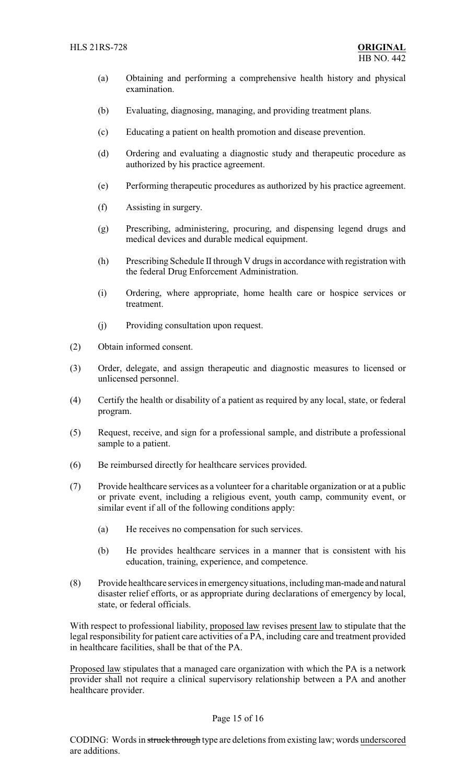- (a) Obtaining and performing a comprehensive health history and physical examination.
- (b) Evaluating, diagnosing, managing, and providing treatment plans.
- (c) Educating a patient on health promotion and disease prevention.
- (d) Ordering and evaluating a diagnostic study and therapeutic procedure as authorized by his practice agreement.
- (e) Performing therapeutic procedures as authorized by his practice agreement.
- (f) Assisting in surgery.
- (g) Prescribing, administering, procuring, and dispensing legend drugs and medical devices and durable medical equipment.
- (h) Prescribing Schedule II through V drugs in accordance with registration with the federal Drug Enforcement Administration.
- (i) Ordering, where appropriate, home health care or hospice services or treatment.
- (j) Providing consultation upon request.
- (2) Obtain informed consent.
- (3) Order, delegate, and assign therapeutic and diagnostic measures to licensed or unlicensed personnel.
- (4) Certify the health or disability of a patient as required by any local, state, or federal program.
- (5) Request, receive, and sign for a professional sample, and distribute a professional sample to a patient.
- (6) Be reimbursed directly for healthcare services provided.
- (7) Provide healthcare services as a volunteer for a charitable organization or at a public or private event, including a religious event, youth camp, community event, or similar event if all of the following conditions apply:
	- (a) He receives no compensation for such services.
	- (b) He provides healthcare services in a manner that is consistent with his education, training, experience, and competence.
- (8) Provide healthcare services in emergencysituations, includingman-made and natural disaster relief efforts, or as appropriate during declarations of emergency by local, state, or federal officials.

With respect to professional liability, proposed law revises present law to stipulate that the legal responsibility for patient care activities of a PA, including care and treatment provided in healthcare facilities, shall be that of the PA.

Proposed law stipulates that a managed care organization with which the PA is a network provider shall not require a clinical supervisory relationship between a PA and another healthcare provider.

#### Page 15 of 16